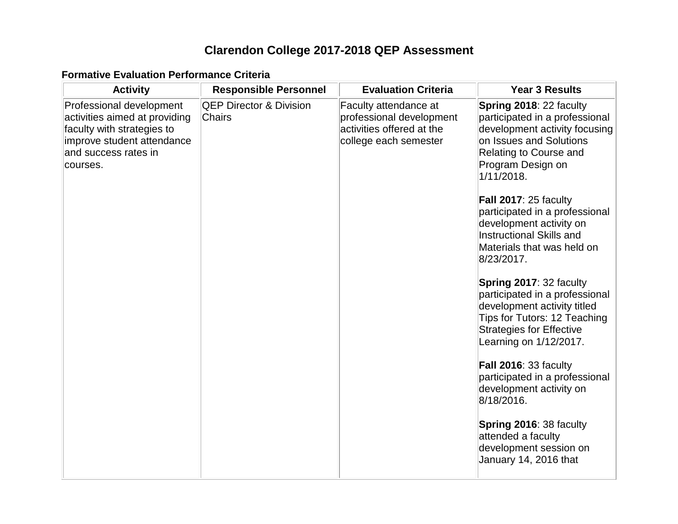# **Clarendon College 2017-2018 QEP Assessment**

#### **Formative Evaluation Performance Criteria**

| <b>Activity</b>                                                                                                                                           | <b>Responsible Personnel</b>                        | <b>Evaluation Criteria</b>                                                                              | <b>Year 3 Results</b>                                                                                                                                                                                                                                                                                                                                                                                                                                                                                                                                                                                                                                                                                                                                    |
|-----------------------------------------------------------------------------------------------------------------------------------------------------------|-----------------------------------------------------|---------------------------------------------------------------------------------------------------------|----------------------------------------------------------------------------------------------------------------------------------------------------------------------------------------------------------------------------------------------------------------------------------------------------------------------------------------------------------------------------------------------------------------------------------------------------------------------------------------------------------------------------------------------------------------------------------------------------------------------------------------------------------------------------------------------------------------------------------------------------------|
| Professional development<br>activities aimed at providing<br>faculty with strategies to<br>improve student attendance<br>and success rates in<br>courses. | <b>QEP Director &amp; Division</b><br><b>Chairs</b> | Faculty attendance at<br>professional development<br>activities offered at the<br>college each semester | Spring 2018: 22 faculty<br>participated in a professional<br>development activity focusing<br>on Issues and Solutions<br>Relating to Course and<br>Program Design on<br>1/11/2018.<br>Fall 2017: 25 faculty<br>participated in a professional<br>development activity on<br><b>Instructional Skills and</b><br>Materials that was held on<br>8/23/2017.<br>Spring 2017: 32 faculty<br>participated in a professional<br>development activity titled<br>Tips for Tutors: 12 Teaching<br><b>Strategies for Effective</b><br>Learning on 1/12/2017.<br>Fall 2016: 33 faculty<br>participated in a professional<br>development activity on<br>8/18/2016.<br>Spring 2016: 38 faculty<br>attended a faculty<br>development session on<br>January 14, 2016 that |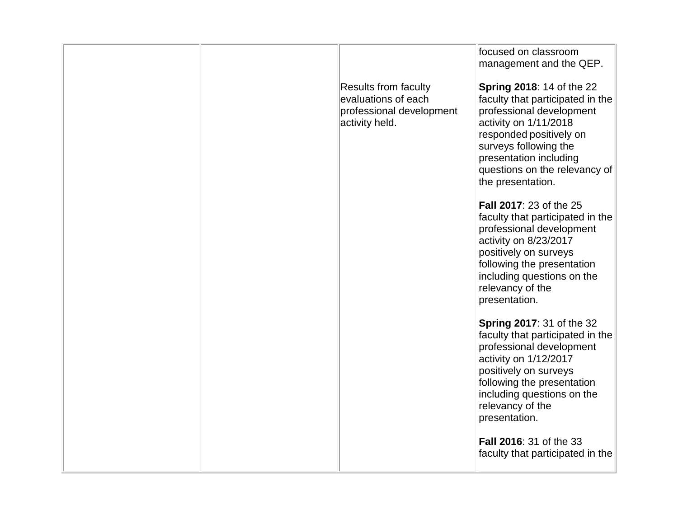|  |                                                                                                  | focused on classroom<br>management and the QEP.                                                                                                                                                                                                               |
|--|--------------------------------------------------------------------------------------------------|---------------------------------------------------------------------------------------------------------------------------------------------------------------------------------------------------------------------------------------------------------------|
|  | <b>Results from faculty</b><br>evaluations of each<br>professional development<br>activity held. | <b>Spring 2018: 14 of the 22</b><br>faculty that participated in the<br>professional development<br>activity on 1/11/2018<br>responded positively on<br>surveys following the<br>presentation including<br>questions on the relevancy of<br>the presentation. |
|  |                                                                                                  | <b>Fall 2017: 23 of the 25</b><br>faculty that participated in the<br>professional development<br>activity on 8/23/2017<br>positively on surveys<br>following the presentation<br>including questions on the<br>relevancy of the<br>presentation.             |
|  |                                                                                                  | <b>Spring 2017: 31 of the 32</b><br>faculty that participated in the<br>professional development<br>activity on 1/12/2017<br>positively on surveys<br>following the presentation<br>including questions on the<br>relevancy of the<br>presentation.           |
|  |                                                                                                  | Fall 2016: 31 of the 33<br>faculty that participated in the                                                                                                                                                                                                   |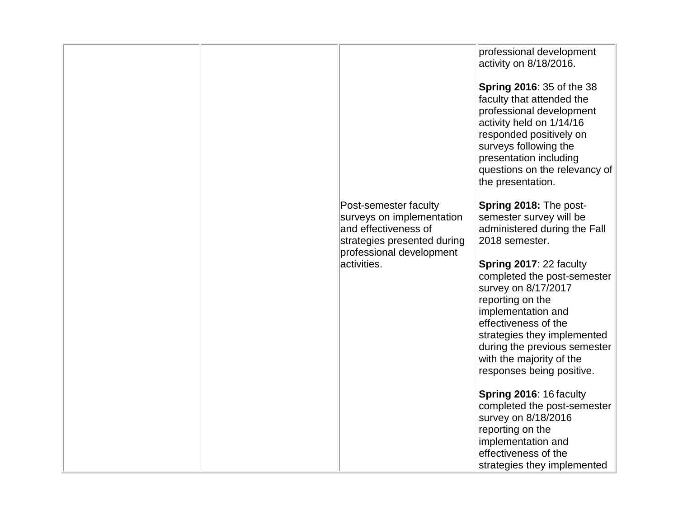|  |                                                                                                                                       | professional development<br>activity on 8/18/2016.<br><b>Spring 2016: 35 of the 38</b>                                                                                                                                |
|--|---------------------------------------------------------------------------------------------------------------------------------------|-----------------------------------------------------------------------------------------------------------------------------------------------------------------------------------------------------------------------|
|  |                                                                                                                                       | faculty that attended the<br>professional development<br>activity held on 1/14/16<br>responded positively on<br>surveys following the<br>presentation including<br>questions on the relevancy of<br>the presentation. |
|  |                                                                                                                                       |                                                                                                                                                                                                                       |
|  | Post-semester faculty<br>surveys on implementation<br>and effectiveness of<br>strategies presented during<br>professional development | Spring 2018: The post-<br>semester survey will be<br>administered during the Fall<br>2018 semester.                                                                                                                   |
|  | activities.                                                                                                                           | Spring 2017: 22 faculty<br>completed the post-semester<br>survey on 8/17/2017<br>reporting on the<br>implementation and<br>effectiveness of the<br>strategies they implemented                                        |
|  |                                                                                                                                       | during the previous semester<br>with the majority of the<br>responses being positive.                                                                                                                                 |
|  |                                                                                                                                       | Spring 2016: 16 faculty<br>completed the post-semester<br>survey on 8/18/2016<br>reporting on the                                                                                                                     |
|  |                                                                                                                                       | implementation and<br>effectiveness of the<br>strategies they implemented                                                                                                                                             |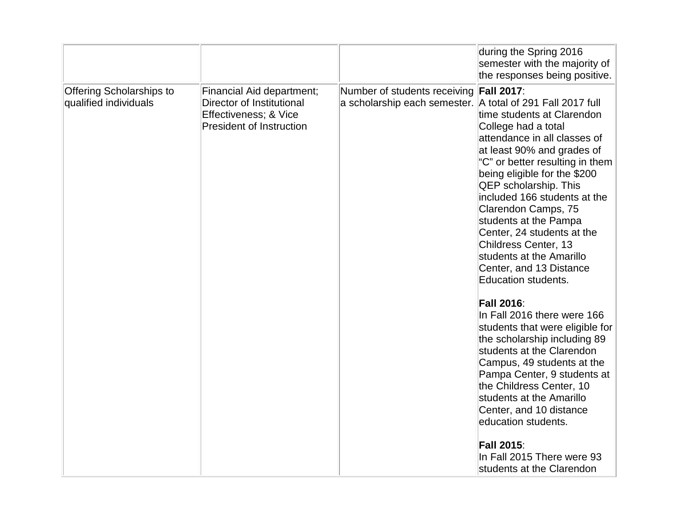|                                                          |                                                                                                                    |                                                                                                       | during the Spring 2016<br>semester with the majority of<br>the responses being positive.                                                                                                                                                                                                                                                                                                                                                      |
|----------------------------------------------------------|--------------------------------------------------------------------------------------------------------------------|-------------------------------------------------------------------------------------------------------|-----------------------------------------------------------------------------------------------------------------------------------------------------------------------------------------------------------------------------------------------------------------------------------------------------------------------------------------------------------------------------------------------------------------------------------------------|
| <b>Offering Scholarships to</b><br>qualified individuals | Financial Aid department;<br>Director of Institutional<br>Effectiveness; & Vice<br><b>President of Instruction</b> | Number of students receiving Fall 2017:<br>a scholarship each semester. A total of 291 Fall 2017 full | time students at Clarendon<br>College had a total<br>attendance in all classes of<br>at least 90% and grades of<br>"C" or better resulting in them<br>being eligible for the \$200<br><b>QEP</b> scholarship. This<br>included 166 students at the<br>Clarendon Camps, 75<br>students at the Pampa<br>Center, 24 students at the<br>Childress Center, 13<br>students at the Amarillo<br>Center, and 13 Distance<br><b>Education students.</b> |
|                                                          |                                                                                                                    |                                                                                                       | <b>Fall 2016:</b><br>In Fall 2016 there were 166<br>students that were eligible for<br>the scholarship including 89<br>students at the Clarendon<br>Campus, 49 students at the<br>Pampa Center, 9 students at<br>the Childress Center, 10<br>students at the Amarillo<br>Center, and 10 distance<br>education students.<br><b>Fall 2015:</b><br>In Fall 2015 There were 93<br>students at the Clarendon                                       |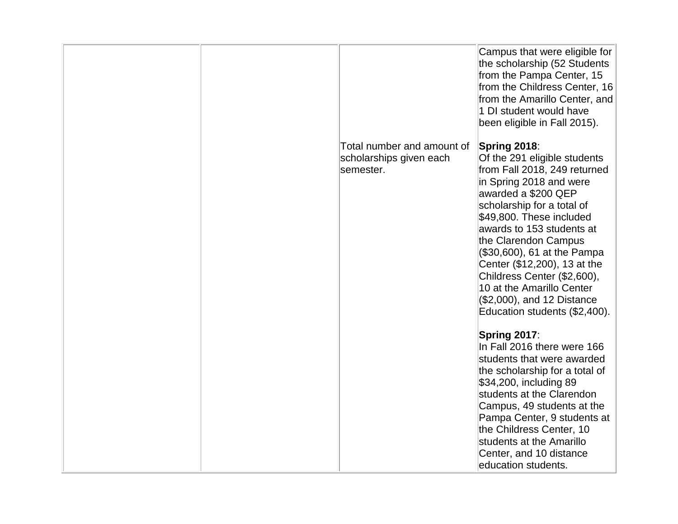|  |                            | Campus that were eligible for<br>the scholarship (52 Students<br>from the Pampa Center, 15<br>from the Childress Center, 16<br>from the Amarillo Center, and<br>1 DI student would have<br>been eligible in Fall 2015).                                                                                                                                                                 |
|--|----------------------------|-----------------------------------------------------------------------------------------------------------------------------------------------------------------------------------------------------------------------------------------------------------------------------------------------------------------------------------------------------------------------------------------|
|  | Total number and amount of | Spring 2018:                                                                                                                                                                                                                                                                                                                                                                            |
|  | scholarships given each    | Of the 291 eligible students                                                                                                                                                                                                                                                                                                                                                            |
|  | semester.                  | from Fall 2018, 249 returned<br>in Spring 2018 and were<br>awarded a \$200 QEP<br>scholarship for a total of<br>\$49,800. These included<br>awards to 153 students at<br>the Clarendon Campus<br>(\$30,600), 61 at the Pampa<br>Center (\$12,200), 13 at the<br>Childress Center (\$2,600),<br>10 at the Amarillo Center<br>(\$2,000), and 12 Distance<br>Education students (\$2,400). |
|  |                            | Spring 2017:                                                                                                                                                                                                                                                                                                                                                                            |
|  |                            | In Fall 2016 there were 166                                                                                                                                                                                                                                                                                                                                                             |
|  |                            | students that were awarded                                                                                                                                                                                                                                                                                                                                                              |
|  |                            | the scholarship for a total of                                                                                                                                                                                                                                                                                                                                                          |
|  |                            | \$34,200, including 89<br>students at the Clarendon                                                                                                                                                                                                                                                                                                                                     |
|  |                            | Campus, 49 students at the                                                                                                                                                                                                                                                                                                                                                              |
|  |                            | Pampa Center, 9 students at                                                                                                                                                                                                                                                                                                                                                             |
|  |                            | the Childress Center, 10                                                                                                                                                                                                                                                                                                                                                                |
|  |                            | students at the Amarillo                                                                                                                                                                                                                                                                                                                                                                |
|  |                            | Center, and 10 distance                                                                                                                                                                                                                                                                                                                                                                 |
|  |                            | education students.                                                                                                                                                                                                                                                                                                                                                                     |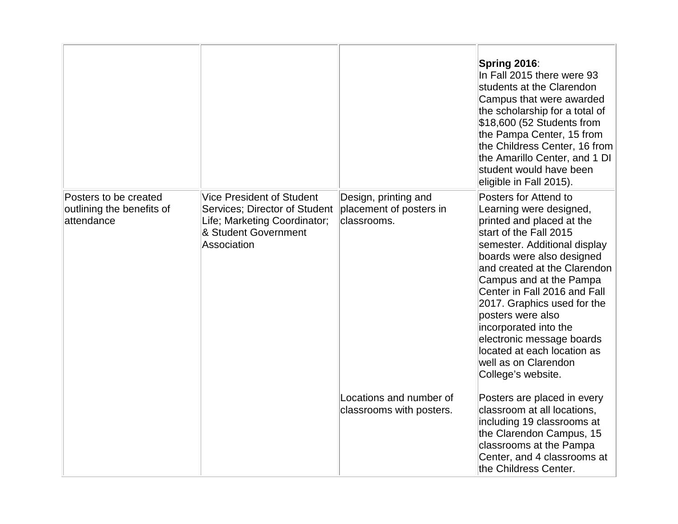|                                                                  |                                                                                                                                          |                                                                | Spring 2016:<br>In Fall 2015 there were 93<br>students at the Clarendon<br>Campus that were awarded<br>the scholarship for a total of<br>$$18,600$ (52 Students from<br>the Pampa Center, 15 from<br>the Childress Center, 16 from<br>the Amarillo Center, and 1 DI<br>student would have been<br>eligible in Fall 2015).                                                                                                                              |
|------------------------------------------------------------------|------------------------------------------------------------------------------------------------------------------------------------------|----------------------------------------------------------------|--------------------------------------------------------------------------------------------------------------------------------------------------------------------------------------------------------------------------------------------------------------------------------------------------------------------------------------------------------------------------------------------------------------------------------------------------------|
| Posters to be created<br>outlining the benefits of<br>attendance | <b>Vice President of Student</b><br>Services; Director of Student<br>Life; Marketing Coordinator;<br>& Student Government<br>Association | Design, printing and<br>placement of posters in<br>classrooms. | Posters for Attend to<br>Learning were designed,<br>printed and placed at the<br>start of the Fall 2015<br>semester. Additional display<br>boards were also designed<br>and created at the Clarendon<br>Campus and at the Pampa<br>Center in Fall 2016 and Fall<br>2017. Graphics used for the<br>posters were also<br>incorporated into the<br>electronic message boards<br>located at each location as<br>well as on Clarendon<br>College's website. |
|                                                                  |                                                                                                                                          | Locations and number of<br>classrooms with posters.            | Posters are placed in every<br>classroom at all locations,<br>including 19 classrooms at<br>the Clarendon Campus, 15<br>classrooms at the Pampa<br>Center, and 4 classrooms at<br>the Childress Center.                                                                                                                                                                                                                                                |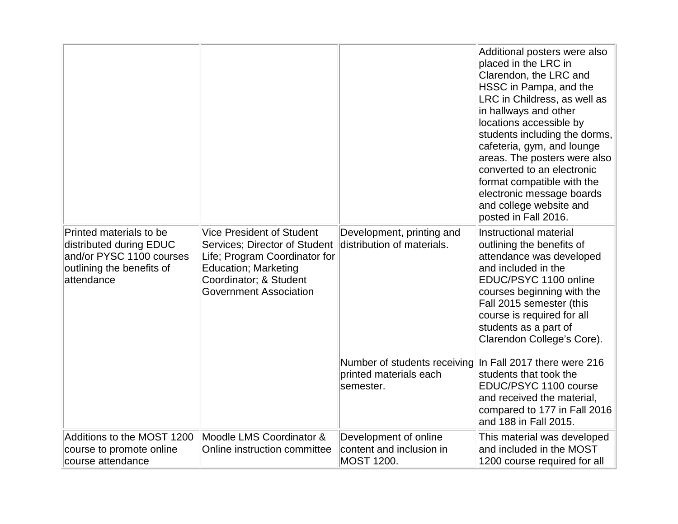|                                                                                                                           |                                                                                                                                                                                               |                                                                        | Additional posters were also<br>placed in the LRC in<br>Clarendon, the LRC and<br>HSSC in Pampa, and the<br>LRC in Childress, as well as<br>in hallways and other<br>locations accessible by<br>students including the dorms,<br>cafeteria, gym, and lounge<br>areas. The posters were also<br>converted to an electronic<br>format compatible with the<br>electronic message boards<br>and college website and<br>posted in Fall 2016. |
|---------------------------------------------------------------------------------------------------------------------------|-----------------------------------------------------------------------------------------------------------------------------------------------------------------------------------------------|------------------------------------------------------------------------|-----------------------------------------------------------------------------------------------------------------------------------------------------------------------------------------------------------------------------------------------------------------------------------------------------------------------------------------------------------------------------------------------------------------------------------------|
| Printed materials to be<br>distributed during EDUC<br>and/or PYSC 1100 courses<br>outlining the benefits of<br>attendance | <b>Vice President of Student</b><br>Services; Director of Student<br>Life; Program Coordinator for<br><b>Education</b> ; Marketing<br>Coordinator; & Student<br><b>Government Association</b> | Development, printing and<br>distribution of materials.                | <b>Instructional material</b><br>outlining the benefits of<br>attendance was developed<br>and included in the<br>EDUC/PSYC 1100 online<br>courses beginning with the<br>Fall 2015 semester (this<br>course is required for all<br>students as a part of<br>Clarendon College's Core).                                                                                                                                                   |
|                                                                                                                           |                                                                                                                                                                                               | Number of students receiving<br>printed materials each<br>semester.    | In Fall 2017 there were 216<br>students that took the<br>EDUC/PSYC 1100 course<br>and received the material,<br>compared to 177 in Fall 2016<br>and 188 in Fall 2015.                                                                                                                                                                                                                                                                   |
| Additions to the MOST 1200<br>course to promote online<br>course attendance                                               | Moodle LMS Coordinator &<br>Online instruction committee                                                                                                                                      | Development of online<br>content and inclusion in<br><b>MOST 1200.</b> | This material was developed<br>and included in the MOST<br>1200 course required for all                                                                                                                                                                                                                                                                                                                                                 |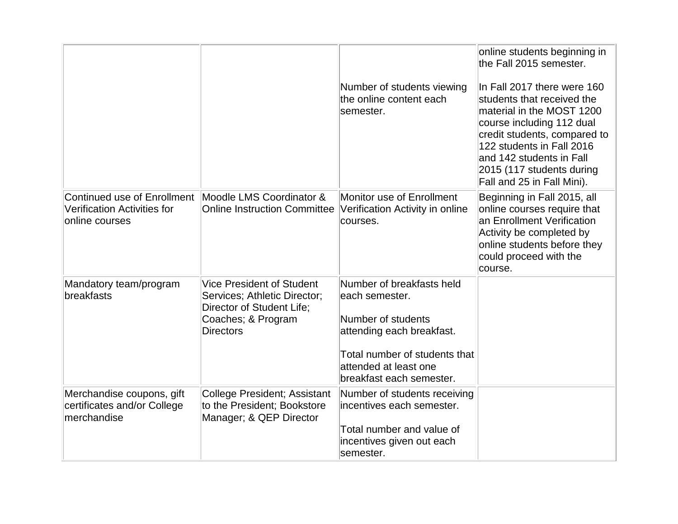|                                                                                     |                                                                                                                                         | Number of students viewing<br>the online content each<br>semester.                                                                                                                   | online students beginning in<br>the Fall 2015 semester.<br>In Fall 2017 there were 160<br>students that received the<br>material in the MOST 1200<br>course including 112 dual<br>credit students, compared to<br>122 students in Fall 2016<br>and 142 students in Fall<br>2015 (117 students during<br>Fall and 25 in Fall Mini). |
|-------------------------------------------------------------------------------------|-----------------------------------------------------------------------------------------------------------------------------------------|--------------------------------------------------------------------------------------------------------------------------------------------------------------------------------------|------------------------------------------------------------------------------------------------------------------------------------------------------------------------------------------------------------------------------------------------------------------------------------------------------------------------------------|
| Continued use of Enrollment<br><b>Verification Activities for</b><br>online courses | Moodle LMS Coordinator &<br><b>Online Instruction Committee</b>                                                                         | Monitor use of Enrollment<br>Verification Activity in online<br>courses.                                                                                                             | Beginning in Fall 2015, all<br>online courses require that<br>an Enrollment Verification<br>Activity be completed by<br>online students before they<br>could proceed with the<br>course.                                                                                                                                           |
| Mandatory team/program<br>breakfasts                                                | <b>Vice President of Student</b><br>Services; Athletic Director;<br>Director of Student Life;<br>Coaches; & Program<br><b>Directors</b> | Number of breakfasts held<br>each semester.<br>Number of students<br>attending each breakfast.<br>Total number of students that<br>attended at least one<br>breakfast each semester. |                                                                                                                                                                                                                                                                                                                                    |
| Merchandise coupons, gift<br>certificates and/or College<br>merchandise             | College President; Assistant<br>to the President; Bookstore<br>Manager; & QEP Director                                                  | Number of students receiving<br>incentives each semester.<br>Total number and value of<br>incentives given out each<br>semester.                                                     |                                                                                                                                                                                                                                                                                                                                    |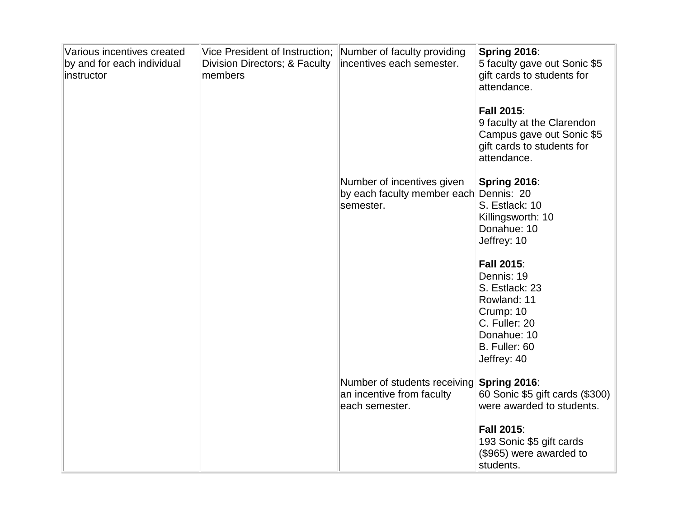| Various incentives created<br>by and for each individual<br>instructor | Vice President of Instruction;<br>Division Directors; & Faculty<br>members | Number of faculty providing<br>incentives each semester.                          | Spring 2016:<br>5 faculty gave out Sonic \$5<br>gift cards to students for<br>attendance.                                                     |
|------------------------------------------------------------------------|----------------------------------------------------------------------------|-----------------------------------------------------------------------------------|-----------------------------------------------------------------------------------------------------------------------------------------------|
|                                                                        |                                                                            |                                                                                   | <b>Fall 2015:</b><br>9 faculty at the Clarendon<br>Campus gave out Sonic \$5<br>gift cards to students for<br>attendance.                     |
|                                                                        |                                                                            | Number of incentives given<br>by each faculty member each Dennis: 20<br>semester. | Spring 2016:<br>S. Estlack: 10<br>Killingsworth: 10<br>Donahue: 10<br>Jeffrey: 10                                                             |
|                                                                        |                                                                            |                                                                                   | <b>Fall 2015:</b><br>Dennis: 19<br>S. Estlack: 23<br>Rowland: 11<br>Crump: 10<br>C. Fuller: 20<br>Donahue: 10<br>B. Fuller: 60<br>Jeffrey: 40 |
|                                                                        |                                                                            | Number of students receiving<br>an incentive from faculty<br>each semester.       | Spring 2016:<br>60 Sonic \$5 gift cards (\$300)<br>were awarded to students.                                                                  |
|                                                                        |                                                                            |                                                                                   | <b>Fall 2015:</b><br>193 Sonic \$5 gift cards<br>(\$965) were awarded to<br>students.                                                         |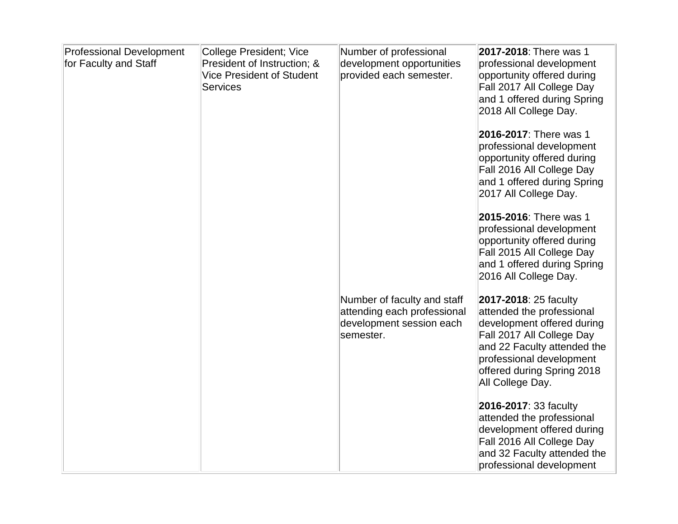| <b>Professional Development</b><br>for Faculty and Staff | <b>College President; Vice</b><br>President of Instruction; &<br><b>Vice President of Student</b><br><b>Services</b> | Number of professional<br>development opportunities<br>provided each semester.                      | 2017-2018: There was 1<br>professional development<br>opportunity offered during<br>Fall 2017 All College Day<br>and 1 offered during Spring<br>2018 All College Day.                                                      |
|----------------------------------------------------------|----------------------------------------------------------------------------------------------------------------------|-----------------------------------------------------------------------------------------------------|----------------------------------------------------------------------------------------------------------------------------------------------------------------------------------------------------------------------------|
|                                                          |                                                                                                                      |                                                                                                     | 2016-2017: There was 1<br>professional development<br>opportunity offered during<br>Fall 2016 All College Day<br>and 1 offered during Spring<br>2017 All College Day.                                                      |
|                                                          |                                                                                                                      |                                                                                                     | 2015-2016: There was 1<br>professional development<br>opportunity offered during<br>Fall 2015 All College Day<br>and 1 offered during Spring<br>2016 All College Day.                                                      |
|                                                          |                                                                                                                      | Number of faculty and staff<br>attending each professional<br>development session each<br>semester. | 2017-2018: 25 faculty<br>attended the professional<br>development offered during<br>Fall 2017 All College Day<br>and 22 Faculty attended the<br>professional development<br>offered during Spring 2018<br>All College Day. |
|                                                          |                                                                                                                      |                                                                                                     | 2016-2017: 33 faculty<br>attended the professional<br>development offered during<br>Fall 2016 All College Day<br>and 32 Faculty attended the<br>professional development                                                   |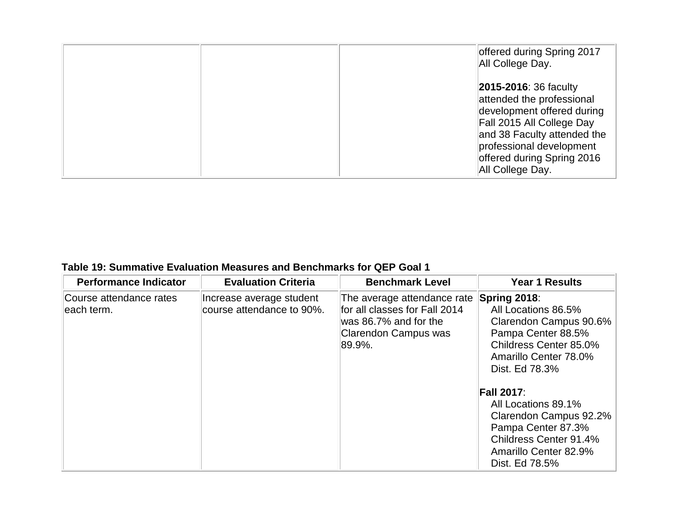|  | offered during Spring 2017<br>All College Day.                                                                                                                                                                                    |
|--|-----------------------------------------------------------------------------------------------------------------------------------------------------------------------------------------------------------------------------------|
|  | <b>2015-2016: 36 faculty</b><br>attended the professional<br>development offered during<br>Fall 2015 All College Day<br>and 38 Faculty attended the<br>professional development<br>offered during Spring 2016<br>All College Day. |

## **Table 19: Summative Evaluation Measures and Benchmarks for QEP Goal 1**

| <b>Performance Indicator</b>          | <b>Evaluation Criteria</b>                            | <b>Benchmark Level</b>                                                                                                  | <b>Year 1 Results</b>                                                                                                                                                                                                                                                                                                     |
|---------------------------------------|-------------------------------------------------------|-------------------------------------------------------------------------------------------------------------------------|---------------------------------------------------------------------------------------------------------------------------------------------------------------------------------------------------------------------------------------------------------------------------------------------------------------------------|
| Course attendance rates<br>each term. | Increase average student<br>course attendance to 90%. | The average attendance rate<br>for all classes for Fall 2014<br>was 86.7% and for the<br>Clarendon Campus was<br>89.9%. | Spring 2018:<br>All Locations 86.5%<br>Clarendon Campus 90.6%<br>Pampa Center 88.5%<br>Childress Center 85.0%<br>Amarillo Center 78.0%<br>Dist. Ed 78.3%<br><b>Fall 2017:</b><br>All Locations 89.1%<br>Clarendon Campus 92.2%<br>Pampa Center 87.3%<br>Childress Center 91.4%<br>Amarillo Center 82.9%<br>Dist. Ed 78.5% |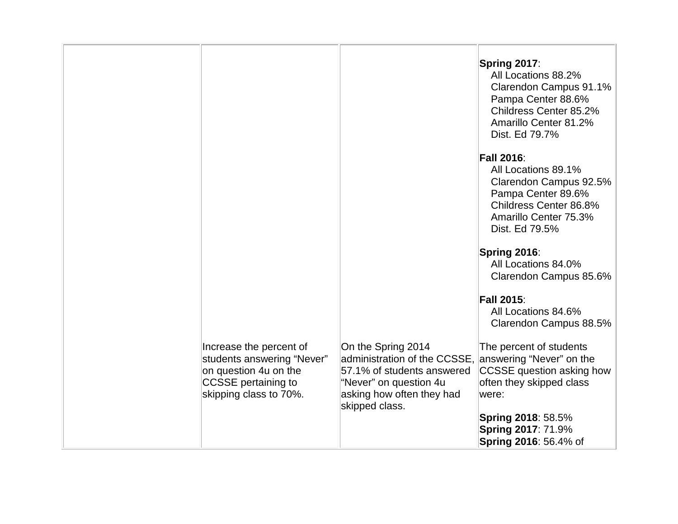|                                                                                                                                 |                                                                                                                                                           | Spring 2017:<br>All Locations 88.2%<br>Clarendon Campus 91.1%<br>Pampa Center 88.6%<br>Childress Center 85.2%<br>Amarillo Center 81.2%<br>Dist. Ed 79.7%      |
|---------------------------------------------------------------------------------------------------------------------------------|-----------------------------------------------------------------------------------------------------------------------------------------------------------|---------------------------------------------------------------------------------------------------------------------------------------------------------------|
|                                                                                                                                 |                                                                                                                                                           | <b>Fall 2016:</b><br>All Locations 89.1%<br>Clarendon Campus 92.5%<br>Pampa Center 89.6%<br>Childress Center 86.8%<br>Amarillo Center 75.3%<br>Dist. Ed 79.5% |
|                                                                                                                                 |                                                                                                                                                           | Spring 2016:<br>All Locations 84.0%<br>Clarendon Campus 85.6%                                                                                                 |
|                                                                                                                                 |                                                                                                                                                           | <b>Fall 2015:</b><br>All Locations 84.6%<br>Clarendon Campus 88.5%                                                                                            |
| Increase the percent of<br>students answering "Never"<br>on question 4u on the<br>CCSSE pertaining to<br>skipping class to 70%. | On the Spring 2014<br>administration of the CCSSE,<br>57.1% of students answered<br>"Never" on question 4u<br>asking how often they had<br>skipped class. | The percent of students<br>answering "Never" on the<br>CCSSE question asking how<br>often they skipped class<br>were:                                         |
|                                                                                                                                 |                                                                                                                                                           | <b>Spring 2018: 58.5%</b><br><b>Spring 2017: 71.9%</b><br><b>Spring 2016: 56.4% of</b>                                                                        |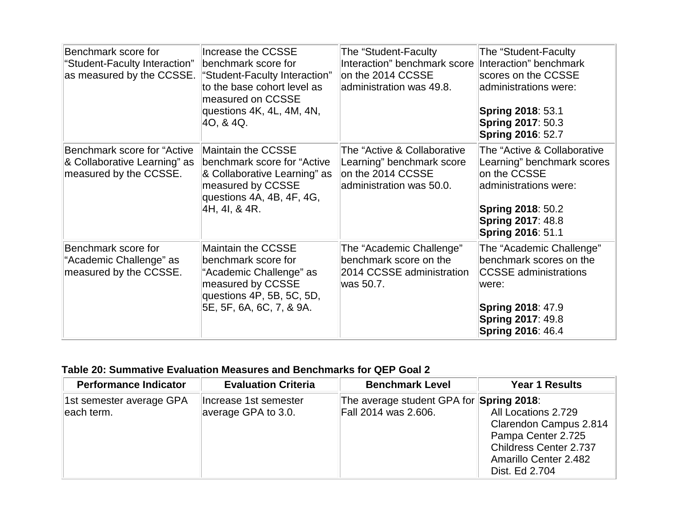| Benchmark score for<br>"Student-Faculty Interaction"<br>as measured by the CCSSE.     | Increase the CCSSE<br>benchmark score for<br>"Student-Faculty Interaction"<br>to the base cohort level as<br>measured on CCSSE<br>questions 4K, 4L, 4M, 4N,<br>40, & 4Q. | The "Student-Faculty<br>Interaction" benchmark score<br>on the 2014 CCSSE<br>administration was 49.8.     | The "Student-Faculty<br>Interaction" benchmark<br>scores on the CCSSE<br>administrations were:<br><b>Spring 2018: 53.1</b><br><b>Spring 2017: 50.3</b><br><b>Spring 2016: 52.7</b>     |
|---------------------------------------------------------------------------------------|--------------------------------------------------------------------------------------------------------------------------------------------------------------------------|-----------------------------------------------------------------------------------------------------------|----------------------------------------------------------------------------------------------------------------------------------------------------------------------------------------|
| Benchmark score for "Active<br>& Collaborative Learning" as<br>measured by the CCSSE. | Maintain the CCSSE<br>benchmark score for "Active"<br>& Collaborative Learning" as<br>measured by CCSSE<br>questions 4A, 4B, 4F, 4G,<br>4H, 4I, & 4R.                    | The "Active & Collaborative<br>Learning" benchmark score<br>on the 2014 CCSSE<br>administration was 50.0. | The "Active & Collaborative<br>Learning" benchmark scores<br>on the CCSSE<br>administrations were:<br><b>Spring 2018: 50.2</b><br><b>Spring 2017: 48.8</b><br><b>Spring 2016: 51.1</b> |
| Benchmark score for<br>"Academic Challenge" as<br>measured by the CCSSE.              | Maintain the CCSSE<br>benchmark score for<br>"Academic Challenge" as<br>measured by CCSSE<br>questions 4P, 5B, 5C, 5D,<br>5E, 5F, 6A, 6C, 7, & 9A.                       | The "Academic Challenge"<br>benchmark score on the<br>2014 CCSSE administration<br>was 50.7.              | The "Academic Challenge"<br>benchmark scores on the<br><b>CCSSE</b> administrations<br>were:<br><b>Spring 2018: 47.9</b><br><b>Spring 2017: 49.8</b><br><b>Spring 2016: 46.4</b>       |

## **Table 20: Summative Evaluation Measures and Benchmarks for QEP Goal 2**

| <b>Performance Indicator</b>           | <b>Evaluation Criteria</b>                   | <b>Benchmark Level</b>                                           | <b>Year 1 Results</b>                                                                                                                           |
|----------------------------------------|----------------------------------------------|------------------------------------------------------------------|-------------------------------------------------------------------------------------------------------------------------------------------------|
| 1st semester average GPA<br>each term. | Increase 1st semester<br>average GPA to 3.0. | The average student GPA for Spring 2018:<br>Fall 2014 was 2.606. | All Locations 2.729<br>Clarendon Campus 2.814<br>Pampa Center 2.725<br><b>Childress Center 2.737</b><br>Amarillo Center 2.482<br>Dist. Ed 2.704 |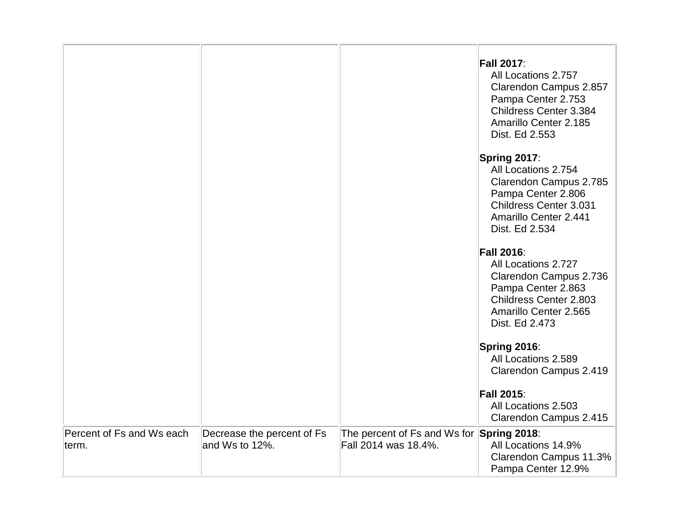|                                    |                                              |                                                                   | <b>Fall 2017:</b><br>All Locations 2.757<br>Clarendon Campus 2.857<br>Pampa Center 2.753<br>Childress Center 3.384<br>Amarillo Center 2.185<br>Dist. Ed 2.553        |
|------------------------------------|----------------------------------------------|-------------------------------------------------------------------|----------------------------------------------------------------------------------------------------------------------------------------------------------------------|
|                                    |                                              |                                                                   | Spring 2017:<br>All Locations 2.754<br>Clarendon Campus 2.785<br>Pampa Center 2.806<br><b>Childress Center 3.031</b><br>Amarillo Center 2.441<br>Dist. Ed 2.534      |
|                                    |                                              |                                                                   | <b>Fall 2016:</b><br>All Locations 2.727<br>Clarendon Campus 2.736<br>Pampa Center 2.863<br><b>Childress Center 2.803</b><br>Amarillo Center 2.565<br>Dist. Ed 2.473 |
|                                    |                                              |                                                                   | Spring 2016:<br>All Locations 2.589<br>Clarendon Campus 2.419                                                                                                        |
|                                    |                                              |                                                                   | <b>Fall 2015:</b><br>All Locations 2.503<br>Clarendon Campus 2.415                                                                                                   |
| Percent of Fs and Ws each<br>term. | Decrease the percent of Fs<br>and Ws to 12%. | The percent of Fs and Ws for Spring 2018:<br>Fall 2014 was 18.4%. | All Locations 14.9%<br>Clarendon Campus 11.3%<br>Pampa Center 12.9%                                                                                                  |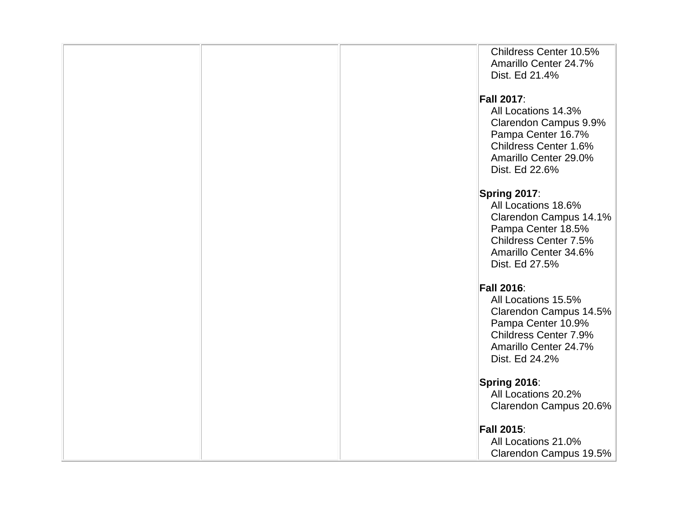|  | Childress Center 10.5%<br>Amarillo Center 24.7% |
|--|-------------------------------------------------|
|  | Dist. Ed 21.4%                                  |
|  |                                                 |
|  | <b>Fall 2017:</b>                               |
|  | All Locations 14.3%                             |
|  | Clarendon Campus 9.9%<br>Pampa Center 16.7%     |
|  | Childress Center 1.6%                           |
|  | Amarillo Center 29.0%                           |
|  | Dist. Ed 22.6%                                  |
|  | Spring 2017:                                    |
|  | All Locations 18.6%                             |
|  | Clarendon Campus 14.1%                          |
|  | Pampa Center 18.5%<br>Childress Center 7.5%     |
|  | Amarillo Center 34.6%                           |
|  | Dist. Ed 27.5%                                  |
|  | <b>Fall 2016:</b>                               |
|  | All Locations 15.5%                             |
|  | Clarendon Campus 14.5%                          |
|  | Pampa Center 10.9%                              |
|  | Childress Center 7.9%                           |
|  | Amarillo Center 24.7%<br>Dist. Ed 24.2%         |
|  |                                                 |
|  | Spring 2016:                                    |
|  | All Locations 20.2%                             |
|  | Clarendon Campus 20.6%                          |
|  | <b>Fall 2015:</b>                               |
|  | All Locations 21.0%                             |
|  | Clarendon Campus 19.5%                          |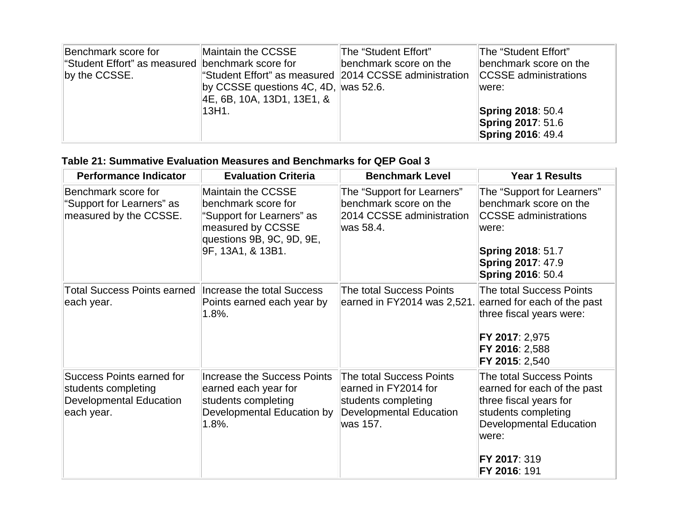| Benchmark score for                              | Maintain the CCSSE                                     | The "Student Effort"   | The "Student Effort"         |
|--------------------------------------------------|--------------------------------------------------------|------------------------|------------------------------|
| "Student Effort" as measured benchmark score for |                                                        | benchmark score on the | benchmark score on the       |
| by the CCSSE.                                    | "Student Effort" as measured 2014 CCSSE administration |                        | <b>CCSSE</b> administrations |
|                                                  | by CCSSE questions 4C, 4D, was 52.6.                   |                        | lwere:                       |
|                                                  | 4E, 6B, 10A, 13D1, 13E1, &                             |                        |                              |
|                                                  | 13H1.                                                  |                        | <b>Spring 2018: 50.4</b>     |
|                                                  |                                                        |                        | <b>Spring 2017: 51.6</b>     |
|                                                  |                                                        |                        | <b>Spring 2016: 49.4</b>     |

## **Table 21: Summative Evaluation Measures and Benchmarks for QEP Goal 3**

| <b>Performance Indicator</b>                                                                            | <b>Evaluation Criteria</b>                                                                                                                    | <b>Benchmark Level</b>                                                                                                       | <b>Year 1 Results</b>                                                                                                                                                               |
|---------------------------------------------------------------------------------------------------------|-----------------------------------------------------------------------------------------------------------------------------------------------|------------------------------------------------------------------------------------------------------------------------------|-------------------------------------------------------------------------------------------------------------------------------------------------------------------------------------|
| Benchmark score for<br>"Support for Learners" as<br>measured by the CCSSE.                              | Maintain the CCSSE<br>benchmark score for<br>"Support for Learners" as<br>measured by CCSSE<br>questions 9B, 9C, 9D, 9E,<br>9F, 13A1, & 13B1. | The "Support for Learners"<br>benchmark score on the<br>2014 CCSSE administration<br>was 58.4.                               | The "Support for Learners"<br>benchmark score on the<br><b>CCSSE</b> administrations<br>were:<br><b>Spring 2018: 51.7</b><br><b>Spring 2017: 47.9</b><br><b>Spring 2016: 50.4</b>   |
| Total Success Points earned<br>each year.                                                               | Increase the total Success<br>Points earned each year by<br>$1.8%$ .                                                                          | The total Success Points<br>earned in FY2014 was 2,521.                                                                      | The total Success Points<br>earned for each of the past<br>three fiscal years were:<br>FY 2017: 2,975<br>FY 2016: 2,588<br>FY 2015: 2,540                                           |
| <b>Success Points earned for</b><br>students completing<br><b>Developmental Education</b><br>each year. | <b>Increase the Success Points</b><br>earned each year for<br>students completing<br>Developmental Education by<br>$1.8%$ .                   | <b>The total Success Points</b><br>earned in FY2014 for<br>students completing<br><b>Developmental Education</b><br>was 157. | The total Success Points<br>earned for each of the past<br>three fiscal years for<br>students completing<br><b>Developmental Education</b><br>were:<br>FY 2017: 319<br>FY 2016: 191 |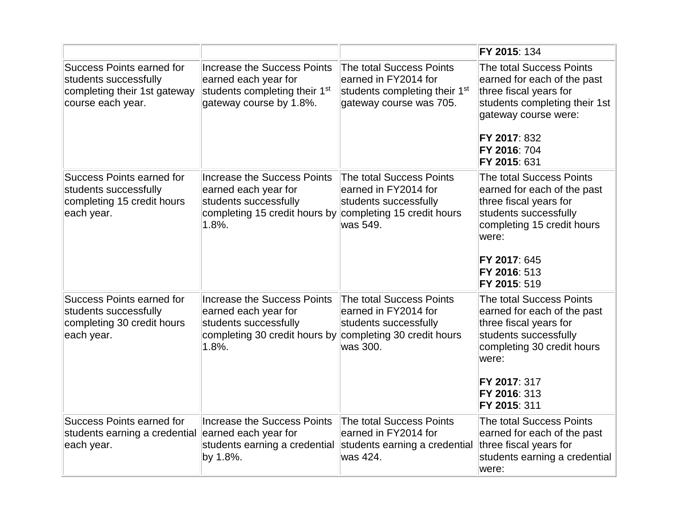|                                                                                                                |                                                                                                                                    |                                                                                                                          | FY 2015: 134                                                                                                                                                                                      |
|----------------------------------------------------------------------------------------------------------------|------------------------------------------------------------------------------------------------------------------------------------|--------------------------------------------------------------------------------------------------------------------------|---------------------------------------------------------------------------------------------------------------------------------------------------------------------------------------------------|
| <b>Success Points earned for</b><br>students successfully<br>completing their 1st gateway<br>course each year. | <b>Increase the Success Points</b><br>earned each year for<br>students completing their 1 <sup>st</sup><br>gateway course by 1.8%. | The total Success Points<br>earned in FY2014 for<br>students completing their 1 <sup>st</sup><br>gateway course was 705. | The total Success Points<br>earned for each of the past<br>three fiscal years for<br>students completing their 1st<br>gateway course were:<br>FY 2017: 832<br>FY 2016: 704<br>FY 2015: 631        |
| Success Points earned for<br>students successfully<br>completing 15 credit hours<br>each year.                 | Increase the Success Points<br>earned each year for<br>students successfully<br>completing 15 credit hours by<br>1.8%.             | The total Success Points<br>earned in FY2014 for<br>students successfully<br>completing 15 credit hours<br>lwas 549.     | The total Success Points<br>earned for each of the past<br>three fiscal years for<br>students successfully<br>completing 15 credit hours<br>were:<br>FY 2017: 645<br>FY 2016: 513<br>FY 2015: 519 |
| <b>Success Points earned for</b><br>students successfully<br>completing 30 credit hours<br>each year.          | <b>Increase the Success Points</b><br>earned each year for<br>students successfully<br>completing 30 credit hours by<br>1.8%.      | The total Success Points<br>earned in FY2014 for<br>students successfully<br>completing 30 credit hours<br>was 300.      | The total Success Points<br>earned for each of the past<br>three fiscal years for<br>students successfully<br>completing 30 credit hours<br>were:<br>FY 2017: 317<br>FY 2016: 313<br>FY 2015: 311 |
| <b>Success Points earned for</b><br>students earning a credential<br>each year.                                | Increase the Success Points<br>earned each year for<br>students earning a credential<br>by 1.8%.                                   | The total Success Points<br>earned in FY2014 for<br>students earning a credential<br>was 424.                            | The total Success Points<br>earned for each of the past<br>three fiscal years for<br>students earning a credential<br>were:                                                                       |